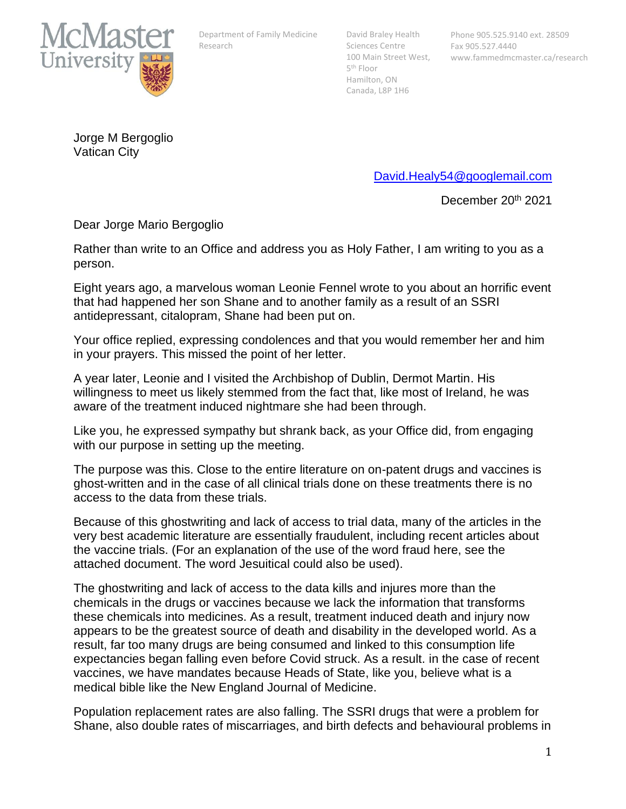

Department of Family Medicine Research

David Braley Health Sciences Centre 100 Main Street West, 5 th Floor Hamilton, ON Canada, L8P 1H6

Jorge M Bergoglio Vatican City

[David.Healy54@googlemail.com](mailto:David.Healy54@googlemail.com)

December 20<sup>th</sup> 2021

Dear Jorge Mario Bergoglio

Rather than write to an Office and address you as Holy Father, I am writing to you as a person.

Eight years ago, a marvelous woman Leonie Fennel wrote to you about an horrific event that had happened her son Shane and to another family as a result of an SSRI antidepressant, citalopram, Shane had been put on.

Your office replied, expressing condolences and that you would remember her and him in your prayers. This missed the point of her letter.

A year later, Leonie and I visited the Archbishop of Dublin, Dermot Martin. His willingness to meet us likely stemmed from the fact that, like most of Ireland, he was aware of the treatment induced nightmare she had been through.

Like you, he expressed sympathy but shrank back, as your Office did, from engaging with our purpose in setting up the meeting.

The purpose was this. Close to the entire literature on on-patent drugs and vaccines is ghost-written and in the case of all clinical trials done on these treatments there is no access to the data from these trials.

Because of this ghostwriting and lack of access to trial data, many of the articles in the very best academic literature are essentially fraudulent, including recent articles about the vaccine trials. (For an explanation of the use of the word fraud here, see the attached document. The word Jesuitical could also be used).

The ghostwriting and lack of access to the data kills and injures more than the chemicals in the drugs or vaccines because we lack the information that transforms these chemicals into medicines. As a result, treatment induced death and injury now appears to be the greatest source of death and disability in the developed world. As a result, far too many drugs are being consumed and linked to this consumption life expectancies began falling even before Covid struck. As a result. in the case of recent vaccines, we have mandates because Heads of State, like you, believe what is a medical bible like the New England Journal of Medicine.

Population replacement rates are also falling. The SSRI drugs that were a problem for Shane, also double rates of miscarriages, and birth defects and behavioural problems in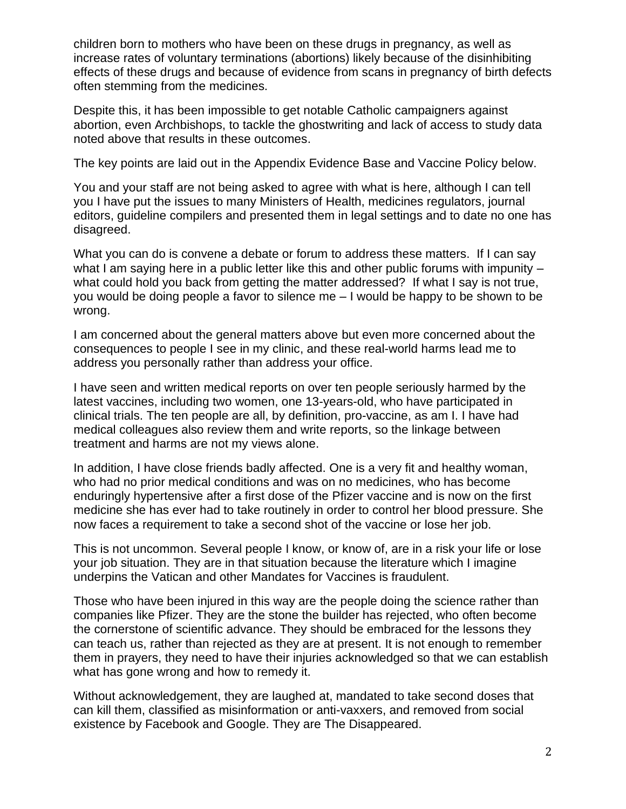children born to mothers who have been on these drugs in pregnancy, as well as increase rates of voluntary terminations (abortions) likely because of the disinhibiting effects of these drugs and because of evidence from scans in pregnancy of birth defects often stemming from the medicines.

Despite this, it has been impossible to get notable Catholic campaigners against abortion, even Archbishops, to tackle the ghostwriting and lack of access to study data noted above that results in these outcomes.

The key points are laid out in the Appendix Evidence Base and Vaccine Policy below.

You and your staff are not being asked to agree with what is here, although I can tell you I have put the issues to many Ministers of Health, medicines regulators, journal editors, guideline compilers and presented them in legal settings and to date no one has disagreed.

What you can do is convene a debate or forum to address these matters. If I can say what I am saying here in a public letter like this and other public forums with impunity – what could hold you back from getting the matter addressed? If what I say is not true, you would be doing people a favor to silence me – I would be happy to be shown to be wrong.

I am concerned about the general matters above but even more concerned about the consequences to people I see in my clinic, and these real-world harms lead me to address you personally rather than address your office.

I have seen and written medical reports on over ten people seriously harmed by the latest vaccines, including two women, one 13-years-old, who have participated in clinical trials. The ten people are all, by definition, pro-vaccine, as am I. I have had medical colleagues also review them and write reports, so the linkage between treatment and harms are not my views alone.

In addition, I have close friends badly affected. One is a very fit and healthy woman, who had no prior medical conditions and was on no medicines, who has become enduringly hypertensive after a first dose of the Pfizer vaccine and is now on the first medicine she has ever had to take routinely in order to control her blood pressure. She now faces a requirement to take a second shot of the vaccine or lose her job.

This is not uncommon. Several people I know, or know of, are in a risk your life or lose your job situation. They are in that situation because the literature which I imagine underpins the Vatican and other Mandates for Vaccines is fraudulent.

Those who have been injured in this way are the people doing the science rather than companies like Pfizer. They are the stone the builder has rejected, who often become the cornerstone of scientific advance. They should be embraced for the lessons they can teach us, rather than rejected as they are at present. It is not enough to remember them in prayers, they need to have their injuries acknowledged so that we can establish what has gone wrong and how to remedy it.

Without acknowledgement, they are laughed at, mandated to take second doses that can kill them, classified as misinformation or anti-vaxxers, and removed from social existence by Facebook and Google. They are The Disappeared.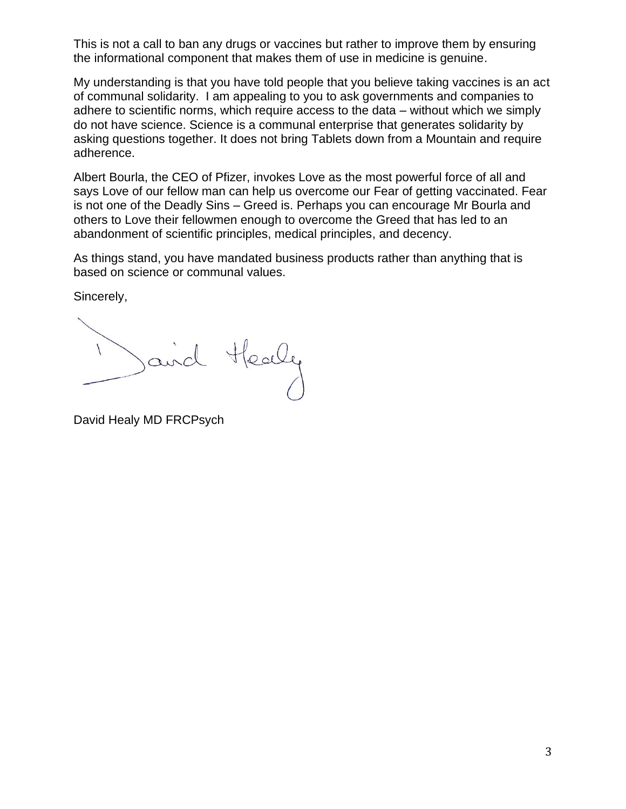This is not a call to ban any drugs or vaccines but rather to improve them by ensuring the informational component that makes them of use in medicine is genuine.

My understanding is that you have told people that you believe taking vaccines is an act of communal solidarity. I am appealing to you to ask governments and companies to adhere to scientific norms, which require access to the data – without which we simply do not have science. Science is a communal enterprise that generates solidarity by asking questions together. It does not bring Tablets down from a Mountain and require adherence.

Albert Bourla, the CEO of Pfizer, invokes Love as the most powerful force of all and says Love of our fellow man can help us overcome our Fear of getting vaccinated. Fear is not one of the Deadly Sins – Greed is. Perhaps you can encourage Mr Bourla and others to Love their fellowmen enough to overcome the Greed that has led to an abandonment of scientific principles, medical principles, and decency.

As things stand, you have mandated business products rather than anything that is based on science or communal values.

Sincerely,

and Healy

David Healy MD FRCPsych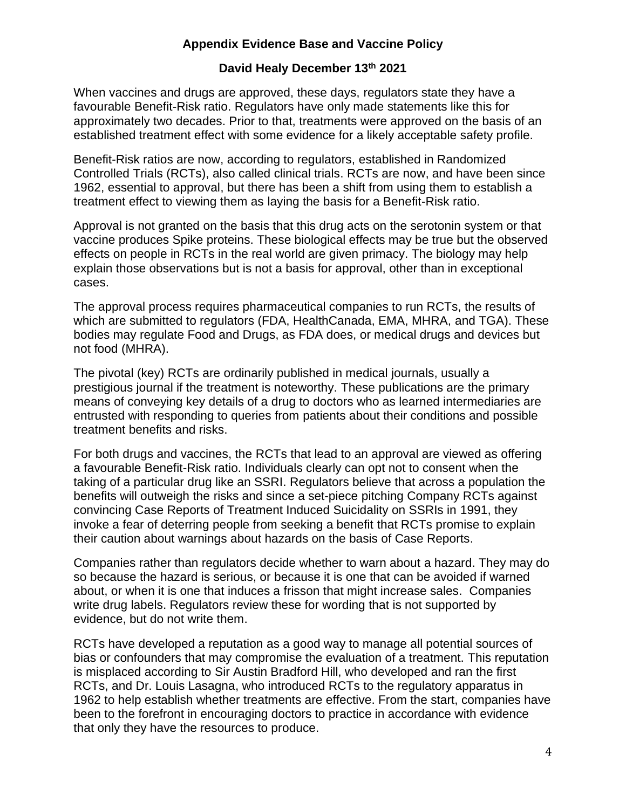# **Appendix Evidence Base and Vaccine Policy**

## **David Healy December 13th 2021**

When vaccines and drugs are approved, these days, regulators state they have a favourable Benefit-Risk ratio. Regulators have only made statements like this for approximately two decades. Prior to that, treatments were approved on the basis of an established treatment effect with some evidence for a likely acceptable safety profile.

Benefit-Risk ratios are now, according to regulators, established in Randomized Controlled Trials (RCTs), also called clinical trials. RCTs are now, and have been since 1962, essential to approval, but there has been a shift from using them to establish a treatment effect to viewing them as laying the basis for a Benefit-Risk ratio.

Approval is not granted on the basis that this drug acts on the serotonin system or that vaccine produces Spike proteins. These biological effects may be true but the observed effects on people in RCTs in the real world are given primacy. The biology may help explain those observations but is not a basis for approval, other than in exceptional cases.

The approval process requires pharmaceutical companies to run RCTs, the results of which are submitted to regulators (FDA, HealthCanada, EMA, MHRA, and TGA). These bodies may regulate Food and Drugs, as FDA does, or medical drugs and devices but not food (MHRA).

The pivotal (key) RCTs are ordinarily published in medical journals, usually a prestigious journal if the treatment is noteworthy. These publications are the primary means of conveying key details of a drug to doctors who as learned intermediaries are entrusted with responding to queries from patients about their conditions and possible treatment benefits and risks.

For both drugs and vaccines, the RCTs that lead to an approval are viewed as offering a favourable Benefit-Risk ratio. Individuals clearly can opt not to consent when the taking of a particular drug like an SSRI. Regulators believe that across a population the benefits will outweigh the risks and since a set-piece pitching Company RCTs against convincing Case Reports of Treatment Induced Suicidality on SSRIs in 1991, they invoke a fear of deterring people from seeking a benefit that RCTs promise to explain their caution about warnings about hazards on the basis of Case Reports.

Companies rather than regulators decide whether to warn about a hazard. They may do so because the hazard is serious, or because it is one that can be avoided if warned about, or when it is one that induces a frisson that might increase sales. Companies write drug labels. Regulators review these for wording that is not supported by evidence, but do not write them.

RCTs have developed a reputation as a good way to manage all potential sources of bias or confounders that may compromise the evaluation of a treatment. This reputation is misplaced according to Sir Austin Bradford Hill, who developed and ran the first RCTs, and Dr. Louis Lasagna, who introduced RCTs to the regulatory apparatus in 1962 to help establish whether treatments are effective. From the start, companies have been to the forefront in encouraging doctors to practice in accordance with evidence that only they have the resources to produce.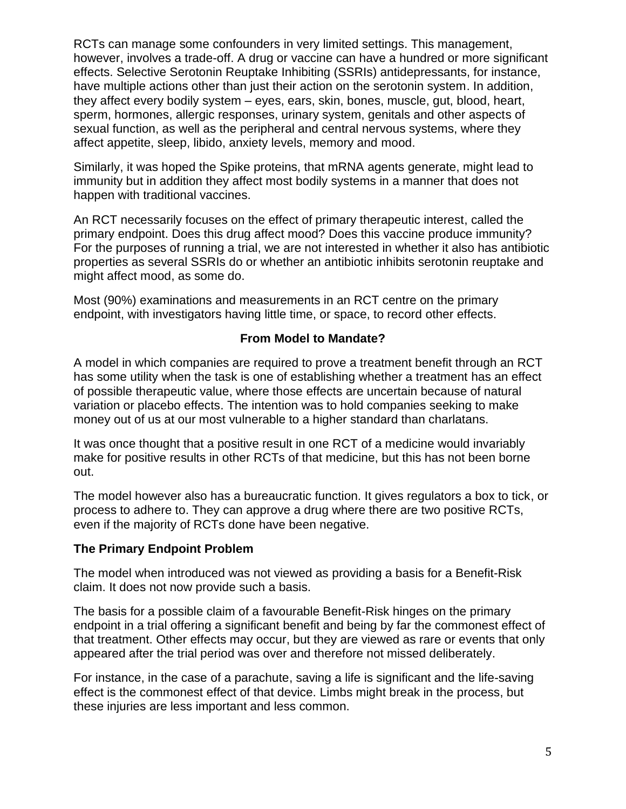RCTs can manage some confounders in very limited settings. This management, however, involves a trade-off. A drug or vaccine can have a hundred or more significant effects. Selective Serotonin Reuptake Inhibiting (SSRIs) antidepressants, for instance, have multiple actions other than just their action on the serotonin system. In addition, they affect every bodily system – eyes, ears, skin, bones, muscle, gut, blood, heart, sperm, hormones, allergic responses, urinary system, genitals and other aspects of sexual function, as well as the peripheral and central nervous systems, where they affect appetite, sleep, libido, anxiety levels, memory and mood.

Similarly, it was hoped the Spike proteins, that mRNA agents generate, might lead to immunity but in addition they affect most bodily systems in a manner that does not happen with traditional vaccines.

An RCT necessarily focuses on the effect of primary therapeutic interest, called the primary endpoint. Does this drug affect mood? Does this vaccine produce immunity? For the purposes of running a trial, we are not interested in whether it also has antibiotic properties as several SSRIs do or whether an antibiotic inhibits serotonin reuptake and might affect mood, as some do.

Most (90%) examinations and measurements in an RCT centre on the primary endpoint, with investigators having little time, or space, to record other effects.

## **From Model to Mandate?**

A model in which companies are required to prove a treatment benefit through an RCT has some utility when the task is one of establishing whether a treatment has an effect of possible therapeutic value, where those effects are uncertain because of natural variation or placebo effects. The intention was to hold companies seeking to make money out of us at our most vulnerable to a higher standard than charlatans.

It was once thought that a positive result in one RCT of a medicine would invariably make for positive results in other RCTs of that medicine, but this has not been borne out.

The model however also has a bureaucratic function. It gives regulators a box to tick, or process to adhere to. They can approve a drug where there are two positive RCTs, even if the majority of RCTs done have been negative.

#### **The Primary Endpoint Problem**

The model when introduced was not viewed as providing a basis for a Benefit-Risk claim. It does not now provide such a basis.

The basis for a possible claim of a favourable Benefit-Risk hinges on the primary endpoint in a trial offering a significant benefit and being by far the commonest effect of that treatment. Other effects may occur, but they are viewed as rare or events that only appeared after the trial period was over and therefore not missed deliberately.

For instance, in the case of a parachute, saving a life is significant and the life-saving effect is the commonest effect of that device. Limbs might break in the process, but these injuries are less important and less common.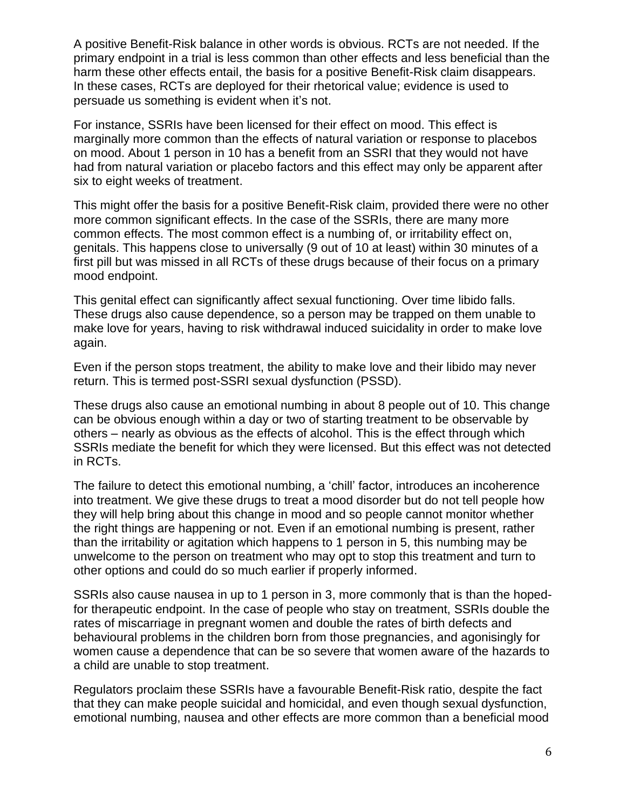A positive Benefit-Risk balance in other words is obvious. RCTs are not needed. If the primary endpoint in a trial is less common than other effects and less beneficial than the harm these other effects entail, the basis for a positive Benefit-Risk claim disappears. In these cases, RCTs are deployed for their rhetorical value; evidence is used to persuade us something is evident when it's not.

For instance, SSRIs have been licensed for their effect on mood. This effect is marginally more common than the effects of natural variation or response to placebos on mood. About 1 person in 10 has a benefit from an SSRI that they would not have had from natural variation or placebo factors and this effect may only be apparent after six to eight weeks of treatment.

This might offer the basis for a positive Benefit-Risk claim, provided there were no other more common significant effects. In the case of the SSRIs, there are many more common effects. The most common effect is a numbing of, or irritability effect on, genitals. This happens close to universally (9 out of 10 at least) within 30 minutes of a first pill but was missed in all RCTs of these drugs because of their focus on a primary mood endpoint.

This genital effect can significantly affect sexual functioning. Over time libido falls. These drugs also cause dependence, so a person may be trapped on them unable to make love for years, having to risk withdrawal induced suicidality in order to make love again.

Even if the person stops treatment, the ability to make love and their libido may never return. This is termed post-SSRI sexual dysfunction (PSSD).

These drugs also cause an emotional numbing in about 8 people out of 10. This change can be obvious enough within a day or two of starting treatment to be observable by others – nearly as obvious as the effects of alcohol. This is the effect through which SSRIs mediate the benefit for which they were licensed. But this effect was not detected in RCTs.

The failure to detect this emotional numbing, a 'chill' factor, introduces an incoherence into treatment. We give these drugs to treat a mood disorder but do not tell people how they will help bring about this change in mood and so people cannot monitor whether the right things are happening or not. Even if an emotional numbing is present, rather than the irritability or agitation which happens to 1 person in 5, this numbing may be unwelcome to the person on treatment who may opt to stop this treatment and turn to other options and could do so much earlier if properly informed.

SSRIs also cause nausea in up to 1 person in 3, more commonly that is than the hopedfor therapeutic endpoint. In the case of people who stay on treatment, SSRIs double the rates of miscarriage in pregnant women and double the rates of birth defects and behavioural problems in the children born from those pregnancies, and agonisingly for women cause a dependence that can be so severe that women aware of the hazards to a child are unable to stop treatment.

Regulators proclaim these SSRIs have a favourable Benefit-Risk ratio, despite the fact that they can make people suicidal and homicidal, and even though sexual dysfunction, emotional numbing, nausea and other effects are more common than a beneficial mood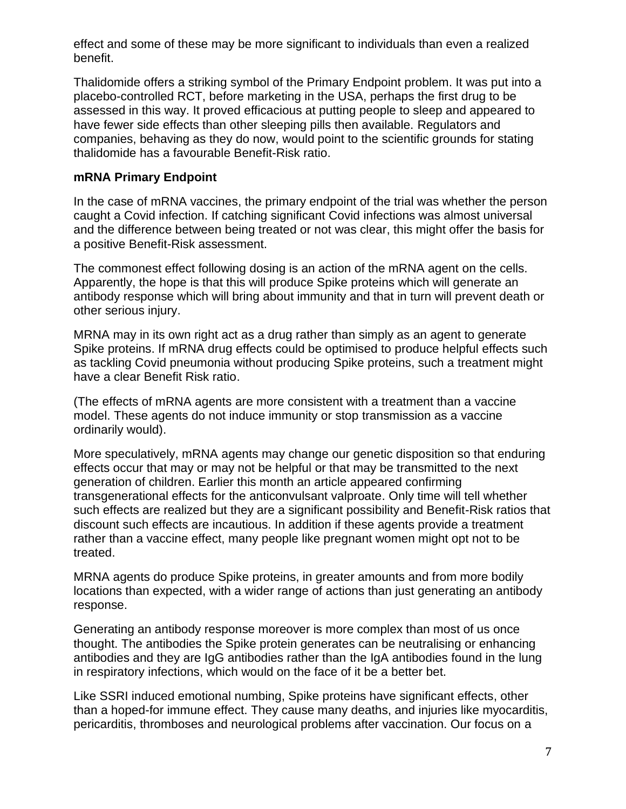effect and some of these may be more significant to individuals than even a realized benefit.

Thalidomide offers a striking symbol of the Primary Endpoint problem. It was put into a placebo-controlled RCT, before marketing in the USA, perhaps the first drug to be assessed in this way. It proved efficacious at putting people to sleep and appeared to have fewer side effects than other sleeping pills then available. Regulators and companies, behaving as they do now, would point to the scientific grounds for stating thalidomide has a favourable Benefit-Risk ratio.

## **mRNA Primary Endpoint**

In the case of mRNA vaccines, the primary endpoint of the trial was whether the person caught a Covid infection. If catching significant Covid infections was almost universal and the difference between being treated or not was clear, this might offer the basis for a positive Benefit-Risk assessment.

The commonest effect following dosing is an action of the mRNA agent on the cells. Apparently, the hope is that this will produce Spike proteins which will generate an antibody response which will bring about immunity and that in turn will prevent death or other serious injury.

MRNA may in its own right act as a drug rather than simply as an agent to generate Spike proteins. If mRNA drug effects could be optimised to produce helpful effects such as tackling Covid pneumonia without producing Spike proteins, such a treatment might have a clear Benefit Risk ratio.

(The effects of mRNA agents are more consistent with a treatment than a vaccine model. These agents do not induce immunity or stop transmission as a vaccine ordinarily would).

More speculatively, mRNA agents may change our genetic disposition so that enduring effects occur that may or may not be helpful or that may be transmitted to the next generation of children. Earlier this month an article appeared confirming transgenerational effects for the anticonvulsant valproate. Only time will tell whether such effects are realized but they are a significant possibility and Benefit-Risk ratios that discount such effects are incautious. In addition if these agents provide a treatment rather than a vaccine effect, many people like pregnant women might opt not to be treated.

MRNA agents do produce Spike proteins, in greater amounts and from more bodily locations than expected, with a wider range of actions than just generating an antibody response.

Generating an antibody response moreover is more complex than most of us once thought. The antibodies the Spike protein generates can be neutralising or enhancing antibodies and they are IgG antibodies rather than the IgA antibodies found in the lung in respiratory infections, which would on the face of it be a better bet.

Like SSRI induced emotional numbing, Spike proteins have significant effects, other than a hoped-for immune effect. They cause many deaths, and injuries like myocarditis, pericarditis, thromboses and neurological problems after vaccination. Our focus on a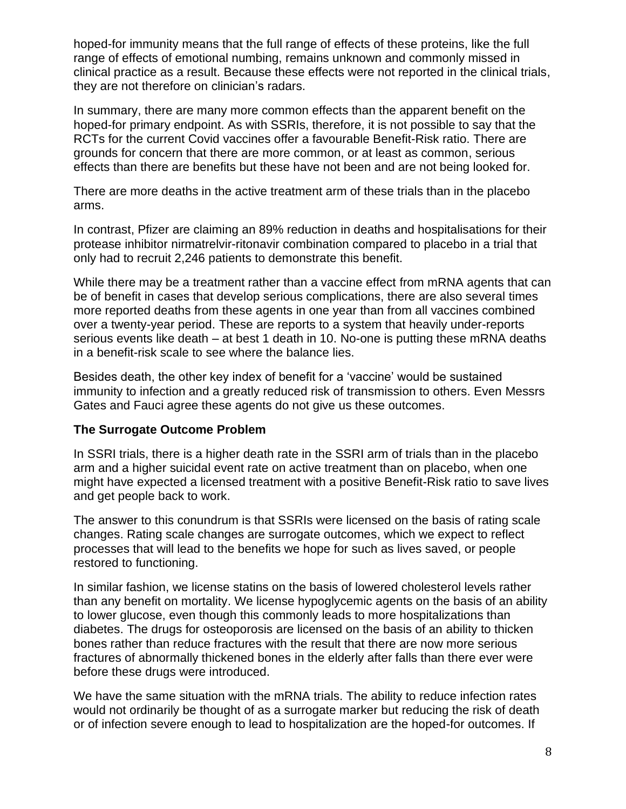hoped-for immunity means that the full range of effects of these proteins, like the full range of effects of emotional numbing, remains unknown and commonly missed in clinical practice as a result. Because these effects were not reported in the clinical trials, they are not therefore on clinician's radars.

In summary, there are many more common effects than the apparent benefit on the hoped-for primary endpoint. As with SSRIs, therefore, it is not possible to say that the RCTs for the current Covid vaccines offer a favourable Benefit-Risk ratio. There are grounds for concern that there are more common, or at least as common, serious effects than there are benefits but these have not been and are not being looked for.

There are more deaths in the active treatment arm of these trials than in the placebo arms.

In contrast, Pfizer are claiming an 89% reduction in deaths and hospitalisations for their protease inhibitor nirmatrelvir-ritonavir combination compared to placebo in a trial that only had to recruit 2,246 patients to demonstrate this benefit.

While there may be a treatment rather than a vaccine effect from mRNA agents that can be of benefit in cases that develop serious complications, there are also several times more reported deaths from these agents in one year than from all vaccines combined over a twenty-year period. These are reports to a system that heavily under-reports serious events like death – at best 1 death in 10. No-one is putting these mRNA deaths in a benefit-risk scale to see where the balance lies.

Besides death, the other key index of benefit for a 'vaccine' would be sustained immunity to infection and a greatly reduced risk of transmission to others. Even Messrs Gates and Fauci agree these agents do not give us these outcomes.

#### **The Surrogate Outcome Problem**

In SSRI trials, there is a higher death rate in the SSRI arm of trials than in the placebo arm and a higher suicidal event rate on active treatment than on placebo, when one might have expected a licensed treatment with a positive Benefit-Risk ratio to save lives and get people back to work.

The answer to this conundrum is that SSRIs were licensed on the basis of rating scale changes. Rating scale changes are surrogate outcomes, which we expect to reflect processes that will lead to the benefits we hope for such as lives saved, or people restored to functioning.

In similar fashion, we license statins on the basis of lowered cholesterol levels rather than any benefit on mortality. We license hypoglycemic agents on the basis of an ability to lower glucose, even though this commonly leads to more hospitalizations than diabetes. The drugs for osteoporosis are licensed on the basis of an ability to thicken bones rather than reduce fractures with the result that there are now more serious fractures of abnormally thickened bones in the elderly after falls than there ever were before these drugs were introduced.

We have the same situation with the mRNA trials. The ability to reduce infection rates would not ordinarily be thought of as a surrogate marker but reducing the risk of death or of infection severe enough to lead to hospitalization are the hoped-for outcomes. If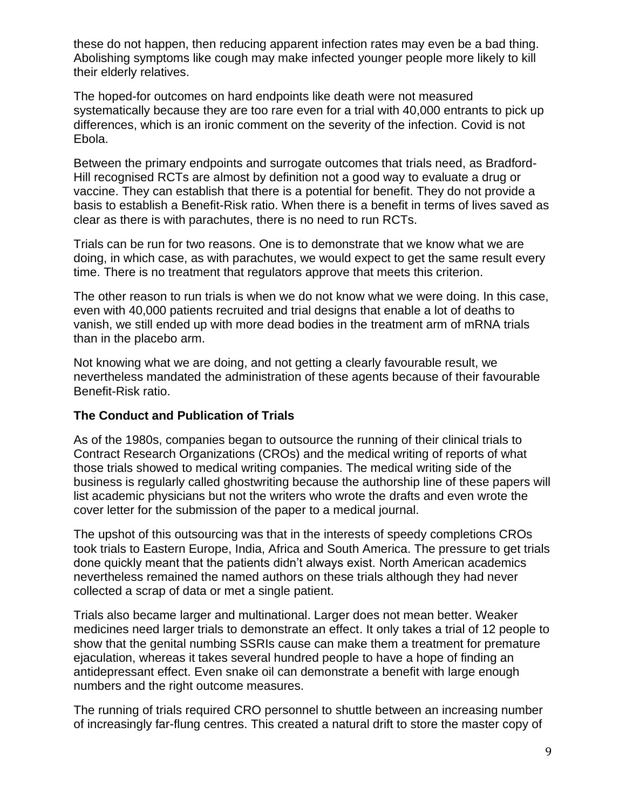these do not happen, then reducing apparent infection rates may even be a bad thing. Abolishing symptoms like cough may make infected younger people more likely to kill their elderly relatives.

The hoped-for outcomes on hard endpoints like death were not measured systematically because they are too rare even for a trial with 40,000 entrants to pick up differences, which is an ironic comment on the severity of the infection. Covid is not Ebola.

Between the primary endpoints and surrogate outcomes that trials need, as Bradford-Hill recognised RCTs are almost by definition not a good way to evaluate a drug or vaccine. They can establish that there is a potential for benefit. They do not provide a basis to establish a Benefit-Risk ratio. When there is a benefit in terms of lives saved as clear as there is with parachutes, there is no need to run RCTs.

Trials can be run for two reasons. One is to demonstrate that we know what we are doing, in which case, as with parachutes, we would expect to get the same result every time. There is no treatment that regulators approve that meets this criterion.

The other reason to run trials is when we do not know what we were doing. In this case, even with 40,000 patients recruited and trial designs that enable a lot of deaths to vanish, we still ended up with more dead bodies in the treatment arm of mRNA trials than in the placebo arm.

Not knowing what we are doing, and not getting a clearly favourable result, we nevertheless mandated the administration of these agents because of their favourable Benefit-Risk ratio.

#### **The Conduct and Publication of Trials**

As of the 1980s, companies began to outsource the running of their clinical trials to Contract Research Organizations (CROs) and the medical writing of reports of what those trials showed to medical writing companies. The medical writing side of the business is regularly called ghostwriting because the authorship line of these papers will list academic physicians but not the writers who wrote the drafts and even wrote the cover letter for the submission of the paper to a medical journal.

The upshot of this outsourcing was that in the interests of speedy completions CROs took trials to Eastern Europe, India, Africa and South America. The pressure to get trials done quickly meant that the patients didn't always exist. North American academics nevertheless remained the named authors on these trials although they had never collected a scrap of data or met a single patient.

Trials also became larger and multinational. Larger does not mean better. Weaker medicines need larger trials to demonstrate an effect. It only takes a trial of 12 people to show that the genital numbing SSRIs cause can make them a treatment for premature ejaculation, whereas it takes several hundred people to have a hope of finding an antidepressant effect. Even snake oil can demonstrate a benefit with large enough numbers and the right outcome measures.

The running of trials required CRO personnel to shuttle between an increasing number of increasingly far-flung centres. This created a natural drift to store the master copy of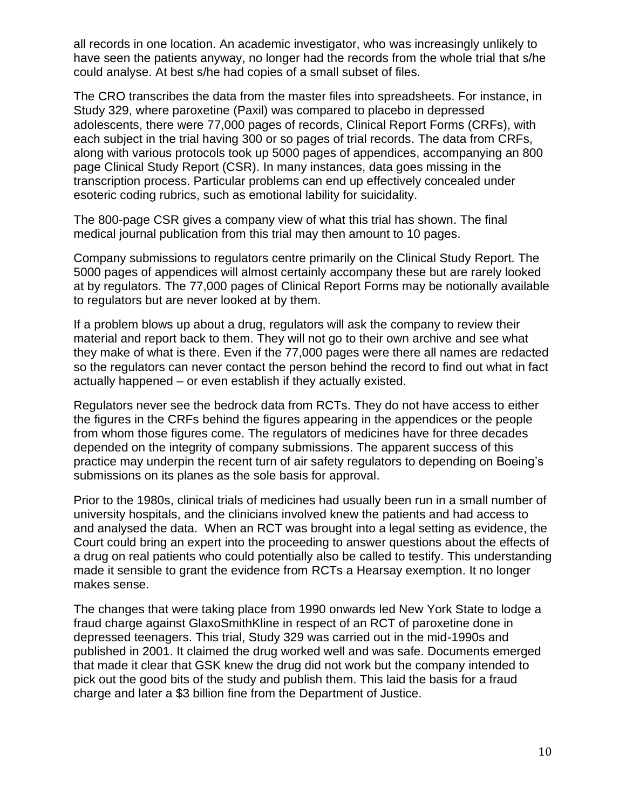all records in one location. An academic investigator, who was increasingly unlikely to have seen the patients anyway, no longer had the records from the whole trial that s/he could analyse. At best s/he had copies of a small subset of files.

The CRO transcribes the data from the master files into spreadsheets. For instance, in Study 329, where paroxetine (Paxil) was compared to placebo in depressed adolescents, there were 77,000 pages of records, Clinical Report Forms (CRFs), with each subject in the trial having 300 or so pages of trial records. The data from CRFs, along with various protocols took up 5000 pages of appendices, accompanying an 800 page Clinical Study Report (CSR). In many instances, data goes missing in the transcription process. Particular problems can end up effectively concealed under esoteric coding rubrics, such as emotional lability for suicidality.

The 800-page CSR gives a company view of what this trial has shown. The final medical journal publication from this trial may then amount to 10 pages.

Company submissions to regulators centre primarily on the Clinical Study Report. The 5000 pages of appendices will almost certainly accompany these but are rarely looked at by regulators. The 77,000 pages of Clinical Report Forms may be notionally available to regulators but are never looked at by them.

If a problem blows up about a drug, regulators will ask the company to review their material and report back to them. They will not go to their own archive and see what they make of what is there. Even if the 77,000 pages were there all names are redacted so the regulators can never contact the person behind the record to find out what in fact actually happened – or even establish if they actually existed.

Regulators never see the bedrock data from RCTs. They do not have access to either the figures in the CRFs behind the figures appearing in the appendices or the people from whom those figures come. The regulators of medicines have for three decades depended on the integrity of company submissions. The apparent success of this practice may underpin the recent turn of air safety regulators to depending on Boeing's submissions on its planes as the sole basis for approval.

Prior to the 1980s, clinical trials of medicines had usually been run in a small number of university hospitals, and the clinicians involved knew the patients and had access to and analysed the data. When an RCT was brought into a legal setting as evidence, the Court could bring an expert into the proceeding to answer questions about the effects of a drug on real patients who could potentially also be called to testify. This understanding made it sensible to grant the evidence from RCTs a Hearsay exemption. It no longer makes sense.

The changes that were taking place from 1990 onwards led New York State to lodge a fraud charge against GlaxoSmithKline in respect of an RCT of paroxetine done in depressed teenagers. This trial, Study 329 was carried out in the mid-1990s and published in 2001. It claimed the drug worked well and was safe. Documents emerged that made it clear that GSK knew the drug did not work but the company intended to pick out the good bits of the study and publish them. This laid the basis for a fraud charge and later a \$3 billion fine from the Department of Justice.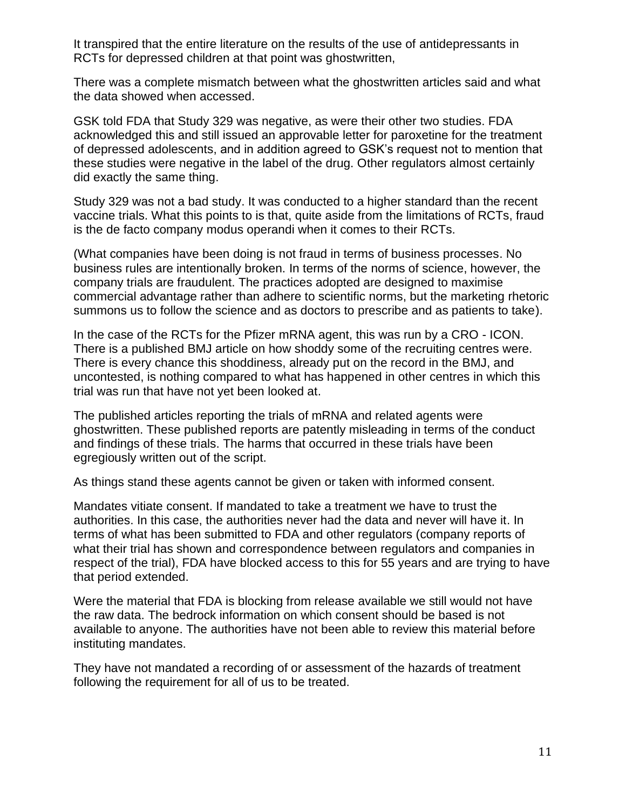It transpired that the entire literature on the results of the use of antidepressants in RCTs for depressed children at that point was ghostwritten,

There was a complete mismatch between what the ghostwritten articles said and what the data showed when accessed.

GSK told FDA that Study 329 was negative, as were their other two studies. FDA acknowledged this and still issued an approvable letter for paroxetine for the treatment of depressed adolescents, and in addition agreed to GSK's request not to mention that these studies were negative in the label of the drug. Other regulators almost certainly did exactly the same thing.

Study 329 was not a bad study. It was conducted to a higher standard than the recent vaccine trials. What this points to is that, quite aside from the limitations of RCTs, fraud is the de facto company modus operandi when it comes to their RCTs.

(What companies have been doing is not fraud in terms of business processes. No business rules are intentionally broken. In terms of the norms of science, however, the company trials are fraudulent. The practices adopted are designed to maximise commercial advantage rather than adhere to scientific norms, but the marketing rhetoric summons us to follow the science and as doctors to prescribe and as patients to take).

In the case of the RCTs for the Pfizer mRNA agent, this was run by a CRO - ICON. There is a published BMJ article on how shoddy some of the recruiting centres were. There is every chance this shoddiness, already put on the record in the BMJ, and uncontested, is nothing compared to what has happened in other centres in which this trial was run that have not yet been looked at.

The published articles reporting the trials of mRNA and related agents were ghostwritten. These published reports are patently misleading in terms of the conduct and findings of these trials. The harms that occurred in these trials have been egregiously written out of the script.

As things stand these agents cannot be given or taken with informed consent.

Mandates vitiate consent. If mandated to take a treatment we have to trust the authorities. In this case, the authorities never had the data and never will have it. In terms of what has been submitted to FDA and other regulators (company reports of what their trial has shown and correspondence between regulators and companies in respect of the trial), FDA have blocked access to this for 55 years and are trying to have that period extended.

Were the material that FDA is blocking from release available we still would not have the raw data. The bedrock information on which consent should be based is not available to anyone. The authorities have not been able to review this material before instituting mandates.

They have not mandated a recording of or assessment of the hazards of treatment following the requirement for all of us to be treated.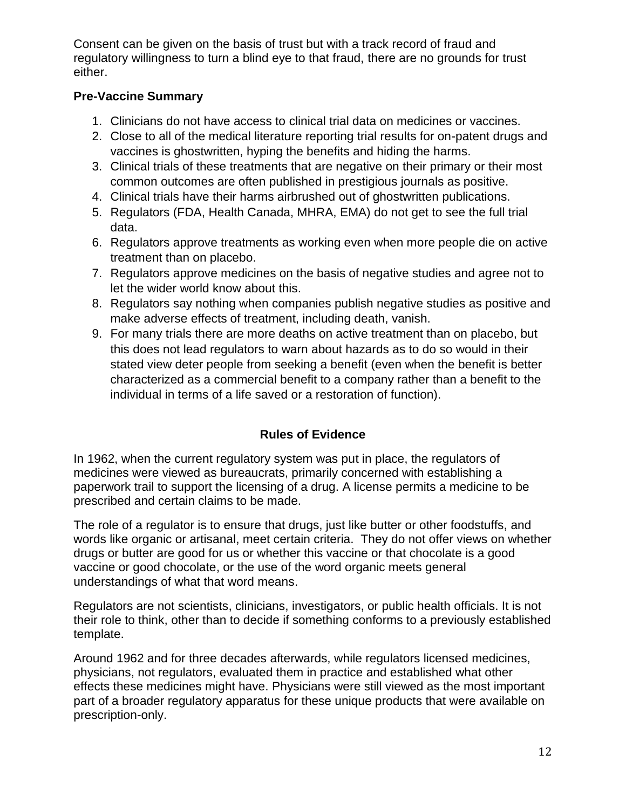Consent can be given on the basis of trust but with a track record of fraud and regulatory willingness to turn a blind eye to that fraud, there are no grounds for trust either.

## **Pre-Vaccine Summary**

- 1. Clinicians do not have access to clinical trial data on medicines or vaccines.
- 2. Close to all of the medical literature reporting trial results for on-patent drugs and vaccines is ghostwritten, hyping the benefits and hiding the harms.
- 3. Clinical trials of these treatments that are negative on their primary or their most common outcomes are often published in prestigious journals as positive.
- 4. Clinical trials have their harms airbrushed out of ghostwritten publications.
- 5. Regulators (FDA, Health Canada, MHRA, EMA) do not get to see the full trial data.
- 6. Regulators approve treatments as working even when more people die on active treatment than on placebo.
- 7. Regulators approve medicines on the basis of negative studies and agree not to let the wider world know about this.
- 8. Regulators say nothing when companies publish negative studies as positive and make adverse effects of treatment, including death, vanish.
- 9. For many trials there are more deaths on active treatment than on placebo, but this does not lead regulators to warn about hazards as to do so would in their stated view deter people from seeking a benefit (even when the benefit is better characterized as a commercial benefit to a company rather than a benefit to the individual in terms of a life saved or a restoration of function).

# **Rules of Evidence**

In 1962, when the current regulatory system was put in place, the regulators of medicines were viewed as bureaucrats, primarily concerned with establishing a paperwork trail to support the licensing of a drug. A license permits a medicine to be prescribed and certain claims to be made.

The role of a regulator is to ensure that drugs, just like butter or other foodstuffs, and words like organic or artisanal, meet certain criteria. They do not offer views on whether drugs or butter are good for us or whether this vaccine or that chocolate is a good vaccine or good chocolate, or the use of the word organic meets general understandings of what that word means.

Regulators are not scientists, clinicians, investigators, or public health officials. It is not their role to think, other than to decide if something conforms to a previously established template.

Around 1962 and for three decades afterwards, while regulators licensed medicines, physicians, not regulators, evaluated them in practice and established what other effects these medicines might have. Physicians were still viewed as the most important part of a broader regulatory apparatus for these unique products that were available on prescription-only.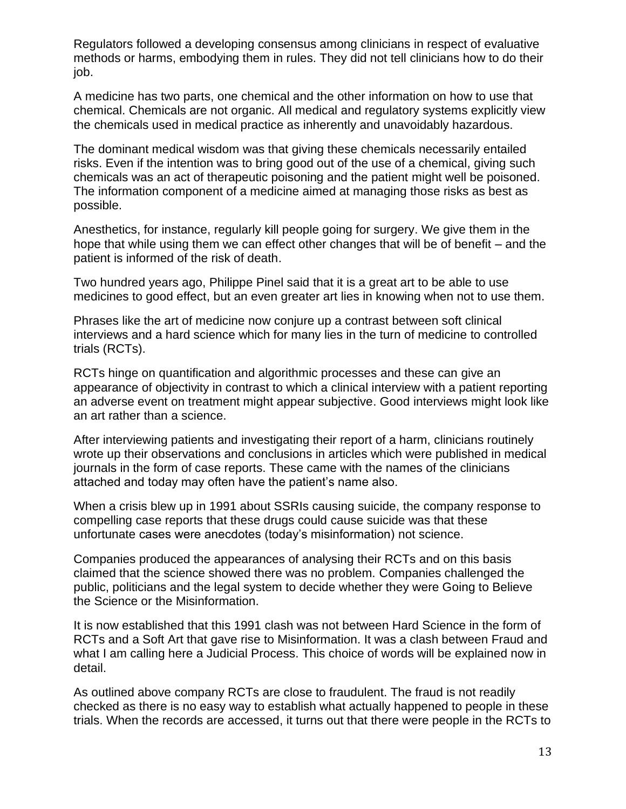Regulators followed a developing consensus among clinicians in respect of evaluative methods or harms, embodying them in rules. They did not tell clinicians how to do their job.

A medicine has two parts, one chemical and the other information on how to use that chemical. Chemicals are not organic. All medical and regulatory systems explicitly view the chemicals used in medical practice as inherently and unavoidably hazardous.

The dominant medical wisdom was that giving these chemicals necessarily entailed risks. Even if the intention was to bring good out of the use of a chemical, giving such chemicals was an act of therapeutic poisoning and the patient might well be poisoned. The information component of a medicine aimed at managing those risks as best as possible.

Anesthetics, for instance, regularly kill people going for surgery. We give them in the hope that while using them we can effect other changes that will be of benefit – and the patient is informed of the risk of death.

Two hundred years ago, Philippe Pinel said that it is a great art to be able to use medicines to good effect, but an even greater art lies in knowing when not to use them.

Phrases like the art of medicine now conjure up a contrast between soft clinical interviews and a hard science which for many lies in the turn of medicine to controlled trials (RCTs).

RCTs hinge on quantification and algorithmic processes and these can give an appearance of objectivity in contrast to which a clinical interview with a patient reporting an adverse event on treatment might appear subjective. Good interviews might look like an art rather than a science.

After interviewing patients and investigating their report of a harm, clinicians routinely wrote up their observations and conclusions in articles which were published in medical journals in the form of case reports. These came with the names of the clinicians attached and today may often have the patient's name also.

When a crisis blew up in 1991 about SSRIs causing suicide, the company response to compelling case reports that these drugs could cause suicide was that these unfortunate cases were anecdotes (today's misinformation) not science.

Companies produced the appearances of analysing their RCTs and on this basis claimed that the science showed there was no problem. Companies challenged the public, politicians and the legal system to decide whether they were Going to Believe the Science or the Misinformation.

It is now established that this 1991 clash was not between Hard Science in the form of RCTs and a Soft Art that gave rise to Misinformation. It was a clash between Fraud and what I am calling here a Judicial Process. This choice of words will be explained now in detail.

As outlined above company RCTs are close to fraudulent. The fraud is not readily checked as there is no easy way to establish what actually happened to people in these trials. When the records are accessed, it turns out that there were people in the RCTs to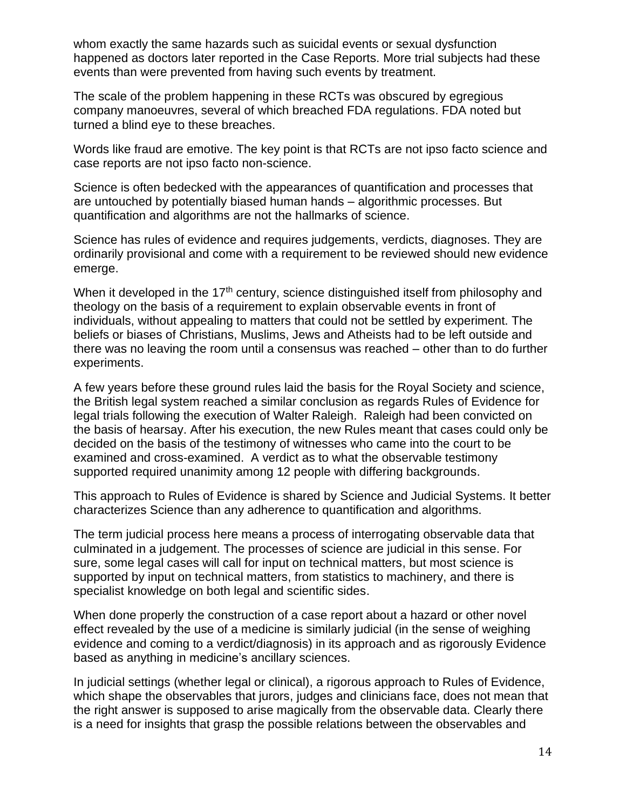whom exactly the same hazards such as suicidal events or sexual dysfunction happened as doctors later reported in the Case Reports. More trial subjects had these events than were prevented from having such events by treatment.

The scale of the problem happening in these RCTs was obscured by egregious company manoeuvres, several of which breached FDA regulations. FDA noted but turned a blind eye to these breaches.

Words like fraud are emotive. The key point is that RCTs are not ipso facto science and case reports are not ipso facto non-science.

Science is often bedecked with the appearances of quantification and processes that are untouched by potentially biased human hands – algorithmic processes. But quantification and algorithms are not the hallmarks of science.

Science has rules of evidence and requires judgements, verdicts, diagnoses. They are ordinarily provisional and come with a requirement to be reviewed should new evidence emerge.

When it developed in the 17<sup>th</sup> century, science distinguished itself from philosophy and theology on the basis of a requirement to explain observable events in front of individuals, without appealing to matters that could not be settled by experiment. The beliefs or biases of Christians, Muslims, Jews and Atheists had to be left outside and there was no leaving the room until a consensus was reached – other than to do further experiments.

A few years before these ground rules laid the basis for the Royal Society and science, the British legal system reached a similar conclusion as regards Rules of Evidence for legal trials following the execution of Walter Raleigh. Raleigh had been convicted on the basis of hearsay. After his execution, the new Rules meant that cases could only be decided on the basis of the testimony of witnesses who came into the court to be examined and cross-examined. A verdict as to what the observable testimony supported required unanimity among 12 people with differing backgrounds.

This approach to Rules of Evidence is shared by Science and Judicial Systems. It better characterizes Science than any adherence to quantification and algorithms.

The term judicial process here means a process of interrogating observable data that culminated in a judgement. The processes of science are judicial in this sense. For sure, some legal cases will call for input on technical matters, but most science is supported by input on technical matters, from statistics to machinery, and there is specialist knowledge on both legal and scientific sides.

When done properly the construction of a case report about a hazard or other novel effect revealed by the use of a medicine is similarly judicial (in the sense of weighing evidence and coming to a verdict/diagnosis) in its approach and as rigorously Evidence based as anything in medicine's ancillary sciences.

In judicial settings (whether legal or clinical), a rigorous approach to Rules of Evidence, which shape the observables that jurors, judges and clinicians face, does not mean that the right answer is supposed to arise magically from the observable data. Clearly there is a need for insights that grasp the possible relations between the observables and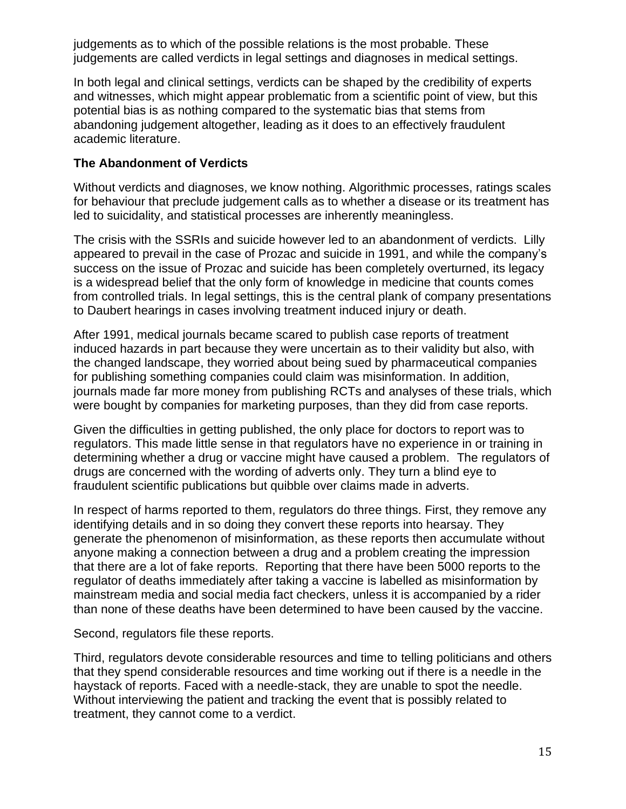judgements as to which of the possible relations is the most probable. These judgements are called verdicts in legal settings and diagnoses in medical settings.

In both legal and clinical settings, verdicts can be shaped by the credibility of experts and witnesses, which might appear problematic from a scientific point of view, but this potential bias is as nothing compared to the systematic bias that stems from abandoning judgement altogether, leading as it does to an effectively fraudulent academic literature.

## **The Abandonment of Verdicts**

Without verdicts and diagnoses, we know nothing. Algorithmic processes, ratings scales for behaviour that preclude judgement calls as to whether a disease or its treatment has led to suicidality, and statistical processes are inherently meaningless.

The crisis with the SSRIs and suicide however led to an abandonment of verdicts. Lilly appeared to prevail in the case of Prozac and suicide in 1991, and while the company's success on the issue of Prozac and suicide has been completely overturned, its legacy is a widespread belief that the only form of knowledge in medicine that counts comes from controlled trials. In legal settings, this is the central plank of company presentations to Daubert hearings in cases involving treatment induced injury or death.

After 1991, medical journals became scared to publish case reports of treatment induced hazards in part because they were uncertain as to their validity but also, with the changed landscape, they worried about being sued by pharmaceutical companies for publishing something companies could claim was misinformation. In addition, journals made far more money from publishing RCTs and analyses of these trials, which were bought by companies for marketing purposes, than they did from case reports.

Given the difficulties in getting published, the only place for doctors to report was to regulators. This made little sense in that regulators have no experience in or training in determining whether a drug or vaccine might have caused a problem. The regulators of drugs are concerned with the wording of adverts only. They turn a blind eye to fraudulent scientific publications but quibble over claims made in adverts.

In respect of harms reported to them, regulators do three things. First, they remove any identifying details and in so doing they convert these reports into hearsay. They generate the phenomenon of misinformation, as these reports then accumulate without anyone making a connection between a drug and a problem creating the impression that there are a lot of fake reports. Reporting that there have been 5000 reports to the regulator of deaths immediately after taking a vaccine is labelled as misinformation by mainstream media and social media fact checkers, unless it is accompanied by a rider than none of these deaths have been determined to have been caused by the vaccine.

Second, regulators file these reports.

Third, regulators devote considerable resources and time to telling politicians and others that they spend considerable resources and time working out if there is a needle in the haystack of reports. Faced with a needle-stack, they are unable to spot the needle. Without interviewing the patient and tracking the event that is possibly related to treatment, they cannot come to a verdict.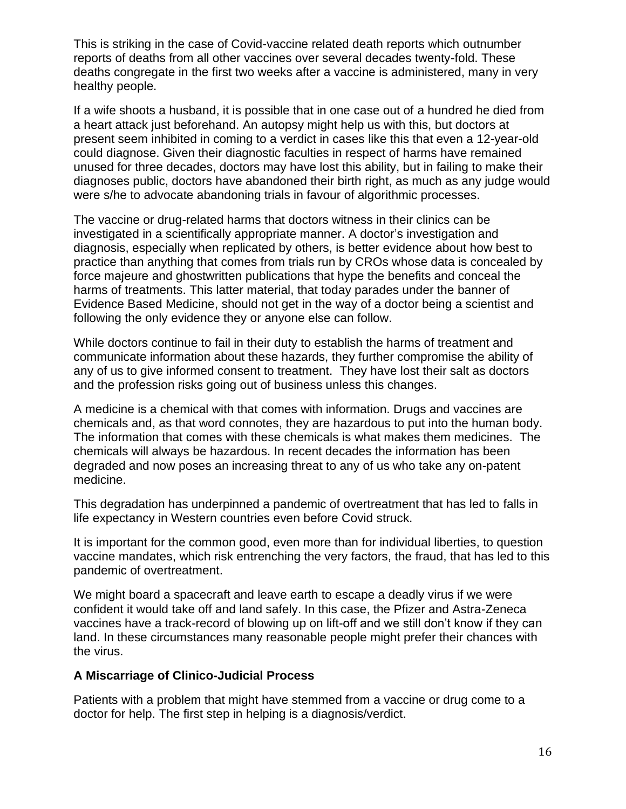This is striking in the case of Covid-vaccine related death reports which outnumber reports of deaths from all other vaccines over several decades twenty-fold. These deaths congregate in the first two weeks after a vaccine is administered, many in very healthy people.

If a wife shoots a husband, it is possible that in one case out of a hundred he died from a heart attack just beforehand. An autopsy might help us with this, but doctors at present seem inhibited in coming to a verdict in cases like this that even a 12-year-old could diagnose. Given their diagnostic faculties in respect of harms have remained unused for three decades, doctors may have lost this ability, but in failing to make their diagnoses public, doctors have abandoned their birth right, as much as any judge would were s/he to advocate abandoning trials in favour of algorithmic processes.

The vaccine or drug-related harms that doctors witness in their clinics can be investigated in a scientifically appropriate manner. A doctor's investigation and diagnosis, especially when replicated by others, is better evidence about how best to practice than anything that comes from trials run by CROs whose data is concealed by force majeure and ghostwritten publications that hype the benefits and conceal the harms of treatments. This latter material, that today parades under the banner of Evidence Based Medicine, should not get in the way of a doctor being a scientist and following the only evidence they or anyone else can follow.

While doctors continue to fail in their duty to establish the harms of treatment and communicate information about these hazards, they further compromise the ability of any of us to give informed consent to treatment. They have lost their salt as doctors and the profession risks going out of business unless this changes.

A medicine is a chemical with that comes with information. Drugs and vaccines are chemicals and, as that word connotes, they are hazardous to put into the human body. The information that comes with these chemicals is what makes them medicines. The chemicals will always be hazardous. In recent decades the information has been degraded and now poses an increasing threat to any of us who take any on-patent medicine.

This degradation has underpinned a pandemic of overtreatment that has led to falls in life expectancy in Western countries even before Covid struck.

It is important for the common good, even more than for individual liberties, to question vaccine mandates, which risk entrenching the very factors, the fraud, that has led to this pandemic of overtreatment.

We might board a spacecraft and leave earth to escape a deadly virus if we were confident it would take off and land safely. In this case, the Pfizer and Astra-Zeneca vaccines have a track-record of blowing up on lift-off and we still don't know if they can land. In these circumstances many reasonable people might prefer their chances with the virus.

#### **A Miscarriage of Clinico-Judicial Process**

Patients with a problem that might have stemmed from a vaccine or drug come to a doctor for help. The first step in helping is a diagnosis/verdict.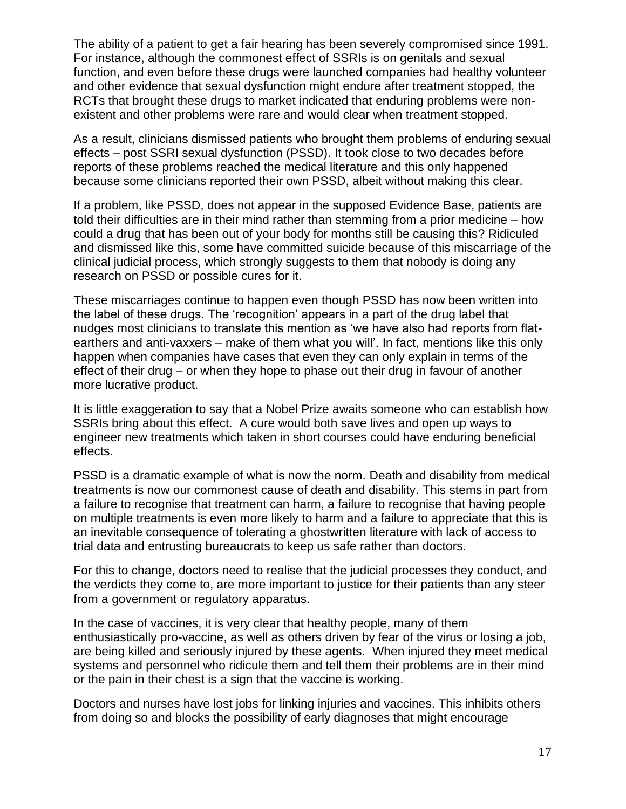The ability of a patient to get a fair hearing has been severely compromised since 1991. For instance, although the commonest effect of SSRIs is on genitals and sexual function, and even before these drugs were launched companies had healthy volunteer and other evidence that sexual dysfunction might endure after treatment stopped, the RCTs that brought these drugs to market indicated that enduring problems were nonexistent and other problems were rare and would clear when treatment stopped.

As a result, clinicians dismissed patients who brought them problems of enduring sexual effects – post SSRI sexual dysfunction (PSSD). It took close to two decades before reports of these problems reached the medical literature and this only happened because some clinicians reported their own PSSD, albeit without making this clear.

If a problem, like PSSD, does not appear in the supposed Evidence Base, patients are told their difficulties are in their mind rather than stemming from a prior medicine – how could a drug that has been out of your body for months still be causing this? Ridiculed and dismissed like this, some have committed suicide because of this miscarriage of the clinical judicial process, which strongly suggests to them that nobody is doing any research on PSSD or possible cures for it.

These miscarriages continue to happen even though PSSD has now been written into the label of these drugs. The 'recognition' appears in a part of the drug label that nudges most clinicians to translate this mention as 'we have also had reports from flatearthers and anti-vaxxers – make of them what you will'. In fact, mentions like this only happen when companies have cases that even they can only explain in terms of the effect of their drug – or when they hope to phase out their drug in favour of another more lucrative product.

It is little exaggeration to say that a Nobel Prize awaits someone who can establish how SSRIs bring about this effect. A cure would both save lives and open up ways to engineer new treatments which taken in short courses could have enduring beneficial effects.

PSSD is a dramatic example of what is now the norm. Death and disability from medical treatments is now our commonest cause of death and disability. This stems in part from a failure to recognise that treatment can harm, a failure to recognise that having people on multiple treatments is even more likely to harm and a failure to appreciate that this is an inevitable consequence of tolerating a ghostwritten literature with lack of access to trial data and entrusting bureaucrats to keep us safe rather than doctors.

For this to change, doctors need to realise that the judicial processes they conduct, and the verdicts they come to, are more important to justice for their patients than any steer from a government or regulatory apparatus.

In the case of vaccines, it is very clear that healthy people, many of them enthusiastically pro-vaccine, as well as others driven by fear of the virus or losing a job, are being killed and seriously injured by these agents. When injured they meet medical systems and personnel who ridicule them and tell them their problems are in their mind or the pain in their chest is a sign that the vaccine is working.

Doctors and nurses have lost jobs for linking injuries and vaccines. This inhibits others from doing so and blocks the possibility of early diagnoses that might encourage